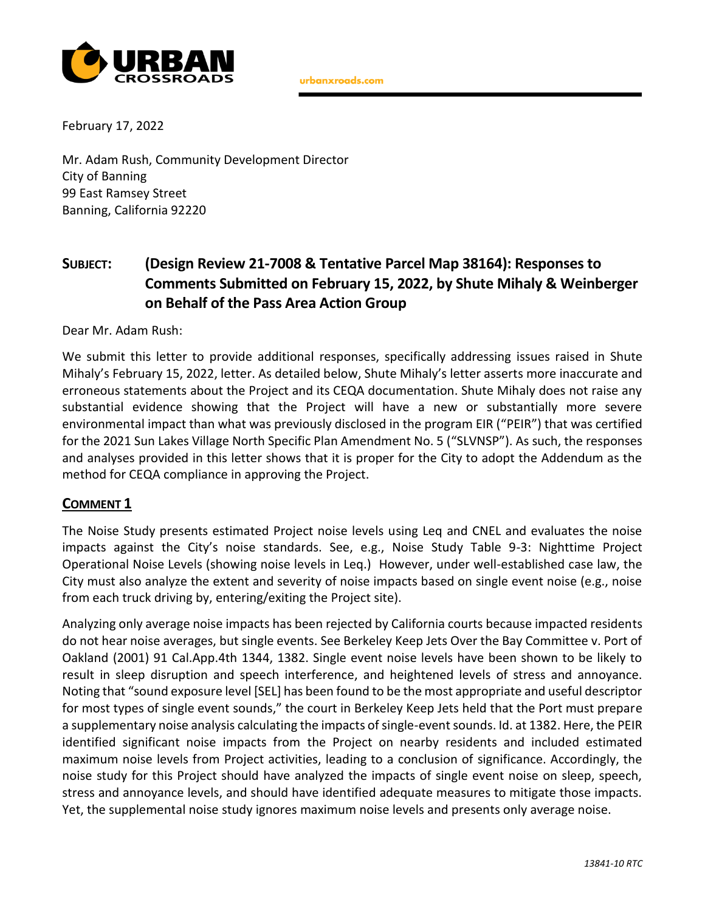

urbanxroads.com

February 17, 2022

Mr. Adam Rush, Community Development Director City of Banning 99 East Ramsey Street Banning, California 92220

# **SUBJECT: (Design Review 21-7008 & Tentative Parcel Map 38164): Responses to Comments Submitted on February 15, 2022, by Shute Mihaly & Weinberger on Behalf of the Pass Area Action Group**

Dear Mr. Adam Rush:

We submit this letter to provide additional responses, specifically addressing issues raised in Shute Mihaly's February 15, 2022, letter. As detailed below, Shute Mihaly's letter asserts more inaccurate and erroneous statements about the Project and its CEQA documentation. Shute Mihaly does not raise any substantial evidence showing that the Project will have a new or substantially more severe environmental impact than what was previously disclosed in the program EIR ("PEIR") that was certified for the 2021 Sun Lakes Village North Specific Plan Amendment No. 5 ("SLVNSP"). As such, the responses and analyses provided in this letter shows that it is proper for the City to adopt the Addendum as the method for CEQA compliance in approving the Project.

#### **COMMENT 1**

The Noise Study presents estimated Project noise levels using Leq and CNEL and evaluates the noise impacts against the City's noise standards. See, e.g., Noise Study Table 9-3: Nighttime Project Operational Noise Levels (showing noise levels in Leq.) However, under well-established case law, the City must also analyze the extent and severity of noise impacts based on single event noise (e.g., noise from each truck driving by, entering/exiting the Project site).

Analyzing only average noise impacts has been rejected by California courts because impacted residents do not hear noise averages, but single events. See Berkeley Keep Jets Over the Bay Committee v. Port of Oakland (2001) 91 Cal.App.4th 1344, 1382. Single event noise levels have been shown to be likely to result in sleep disruption and speech interference, and heightened levels of stress and annoyance. Noting that "sound exposure level [SEL] has been found to be the most appropriate and useful descriptor for most types of single event sounds," the court in Berkeley Keep Jets held that the Port must prepare a supplementary noise analysis calculating the impacts of single-event sounds. Id. at 1382. Here, the PEIR identified significant noise impacts from the Project on nearby residents and included estimated maximum noise levels from Project activities, leading to a conclusion of significance. Accordingly, the noise study for this Project should have analyzed the impacts of single event noise on sleep, speech, stress and annoyance levels, and should have identified adequate measures to mitigate those impacts. Yet, the supplemental noise study ignores maximum noise levels and presents only average noise.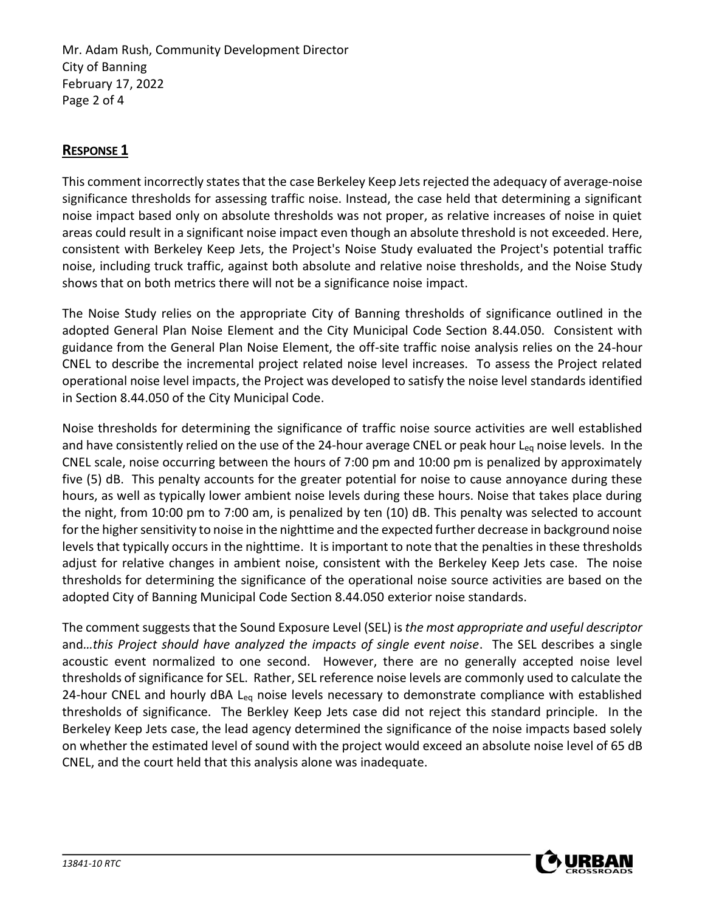Mr. Adam Rush, Community Development Director City of Banning February 17, 2022 Page 2 of 4

### **RESPONSE 1**

This comment incorrectly states that the case Berkeley Keep Jets rejected the adequacy of average-noise significance thresholds for assessing traffic noise. Instead, the case held that determining a significant noise impact based only on absolute thresholds was not proper, as relative increases of noise in quiet areas could result in a significant noise impact even though an absolute threshold is not exceeded. Here, consistent with Berkeley Keep Jets, the Project's Noise Study evaluated the Project's potential traffic noise, including truck traffic, against both absolute and relative noise thresholds, and the Noise Study shows that on both metrics there will not be a significance noise impact.

The Noise Study relies on the appropriate City of Banning thresholds of significance outlined in the adopted General Plan Noise Element and the City Municipal Code Section 8.44.050. Consistent with guidance from the General Plan Noise Element, the off-site traffic noise analysis relies on the 24-hour CNEL to describe the incremental project related noise level increases. To assess the Project related operational noise level impacts, the Project was developed to satisfy the noise level standards identified in Section 8.44.050 of the City Municipal Code.

Noise thresholds for determining the significance of traffic noise source activities are well established and have consistently relied on the use of the 24-hour average CNEL or peak hour L<sub>eq</sub> noise levels. In the CNEL scale, noise occurring between the hours of 7:00 pm and 10:00 pm is penalized by approximately five (5) dB. This penalty accounts for the greater potential for noise to cause annoyance during these hours, as well as typically lower ambient noise levels during these hours. Noise that takes place during the night, from 10:00 pm to 7:00 am, is penalized by ten (10) dB. This penalty was selected to account for the higher sensitivity to noise in the nighttime and the expected further decrease in background noise levels that typically occurs in the nighttime. It is important to note that the penalties in these thresholds adjust for relative changes in ambient noise, consistent with the Berkeley Keep Jets case. The noise thresholds for determining the significance of the operational noise source activities are based on the adopted City of Banning Municipal Code Section 8.44.050 exterior noise standards.

The comment suggests that the Sound Exposure Level (SEL) is *the most appropriate and useful descriptor*  and*…this Project should have analyzed the impacts of single event noise*. The SEL describes a single acoustic event normalized to one second. However, there are no generally accepted noise level thresholds of significance for SEL. Rather, SEL reference noise levels are commonly used to calculate the 24-hour CNEL and hourly dBA L<sub>eq</sub> noise levels necessary to demonstrate compliance with established thresholds of significance. The Berkley Keep Jets case did not reject this standard principle. In the Berkeley Keep Jets case, the lead agency determined the significance of the noise impacts based solely on whether the estimated level of sound with the project would exceed an absolute noise level of 65 dB CNEL, and the court held that this analysis alone was inadequate.

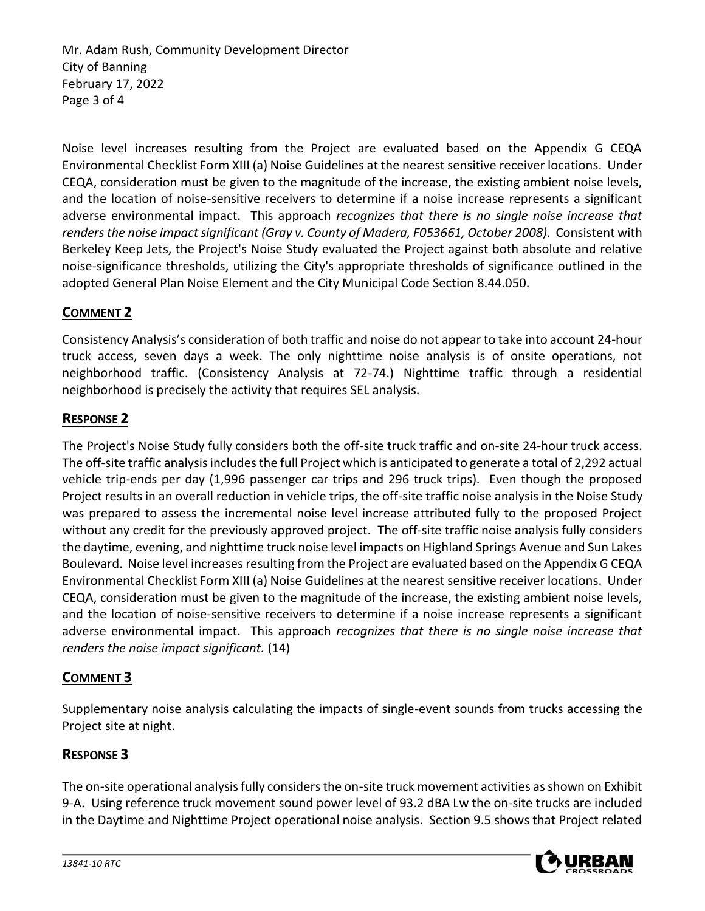Mr. Adam Rush, Community Development Director City of Banning February 17, 2022 Page 3 of 4

Noise level increases resulting from the Project are evaluated based on the Appendix G CEQA Environmental Checklist Form XIII (a) Noise Guidelines at the nearest sensitive receiver locations. Under CEQA, consideration must be given to the magnitude of the increase, the existing ambient noise levels, and the location of noise-sensitive receivers to determine if a noise increase represents a significant adverse environmental impact. This approach *recognizes that there is no single noise increase that renders the noise impact significant (Gray v. County of Madera, F053661, October 2008).* Consistent with Berkeley Keep Jets, the Project's Noise Study evaluated the Project against both absolute and relative noise-significance thresholds, utilizing the City's appropriate thresholds of significance outlined in the adopted General Plan Noise Element and the City Municipal Code Section 8.44.050.

## **COMMENT 2**

Consistency Analysis's consideration of both traffic and noise do not appear to take into account 24-hour truck access, seven days a week. The only nighttime noise analysis is of onsite operations, not neighborhood traffic. (Consistency Analysis at 72-74.) Nighttime traffic through a residential neighborhood is precisely the activity that requires SEL analysis.

#### **RESPONSE 2**

The Project's Noise Study fully considers both the off-site truck traffic and on-site 24-hour truck access. The off-site traffic analysis includes the full Project which is anticipated to generate a total of 2,292 actual vehicle trip-ends per day (1,996 passenger car trips and 296 truck trips). Even though the proposed Project results in an overall reduction in vehicle trips, the off-site traffic noise analysis in the Noise Study was prepared to assess the incremental noise level increase attributed fully to the proposed Project without any credit for the previously approved project. The off-site traffic noise analysis fully considers the daytime, evening, and nighttime truck noise level impacts on Highland Springs Avenue and Sun Lakes Boulevard. Noise level increases resulting from the Project are evaluated based on the Appendix G CEQA Environmental Checklist Form XIII (a) Noise Guidelines at the nearest sensitive receiver locations. Under CEQA, consideration must be given to the magnitude of the increase, the existing ambient noise levels, and the location of noise-sensitive receivers to determine if a noise increase represents a significant adverse environmental impact. This approach *recognizes that there is no single noise increase that renders the noise impact significant.* (14)

#### **COMMENT 3**

Supplementary noise analysis calculating the impacts of single-event sounds from trucks accessing the Project site at night.

### **RESPONSE 3**

The on-site operational analysis fully considers the on-site truck movement activities as shown on Exhibit 9-A. Using reference truck movement sound power level of 93.2 dBA Lw the on-site trucks are included in the Daytime and Nighttime Project operational noise analysis. Section 9.5 shows that Project related